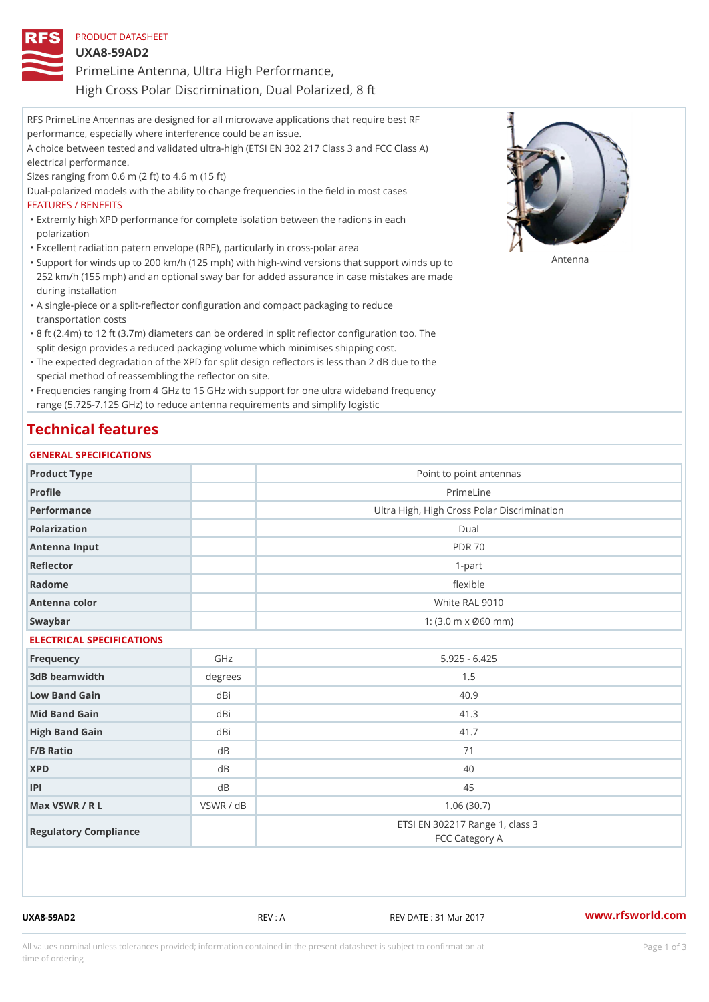| PRODUCT DATASHEET                                     |  |
|-------------------------------------------------------|--|
| $UXA8-59AD2$                                          |  |
| PrimeLine Antenna, Ultra High Performance,            |  |
| High Cross Polar Discrimination, Dual Polarized, 8 ft |  |

| RFS PrimeLine Antennas are designed for all microwave applications that require best RF      |
|----------------------------------------------------------------------------------------------|
| performance, especially where interference could be an issue.                                |
| A choice between tested and validated ultra-high (ETSI EN 302 217 Class 3 and FCC Class A)   |
| electrical performance.                                                                      |
| Sizes ranging from $0.6$ m $(2 \text{ ft})$ to $4.6$ m $(15 \text{ ft})$                     |
| Dual-polarized models with the ability to change frequencies in the field in most cases      |
| FEATURES / BENEFITS                                                                          |
| "Extremly high XPD performance for complete isolation between the radions in each            |
| polarization                                                                                 |
| "Excellent radiation patern envelope (RPE), particularly in cross-polar area                 |
| "Support for winds up to 200 km/h (125 mph) with high-wind versions that su∱βό fl∿Pnds up to |
| 252 km/h (155 mph) and an optional sway bar for added assurance in case mistakes are made    |
| during installation                                                                          |
| "A single-piece or a split-reflector configuration and compact packaging to reduce           |
| transportation costs                                                                         |

- 8 ft (2.4m) to 12 ft (3.7m) diameters can be ordered in split reflector configuration too. The " split design provides a reduced packaging volume which minimises shipping cost.
- "The expected degradation of the XPD for split design reflectors is less than 2 dB due to the special method of reassembling the reflector on site.

Frequencies ranging from 4 GHz to 15 GHz with support for one ultra wideband frequency " range (5.725-7.125 GHz) to reduce antenna requirements and simplify logistic

## Technical features

### GENERAL SPECIFICATIONS

| Product Type              |           | Point to point antennas                                 |  |  |  |
|---------------------------|-----------|---------------------------------------------------------|--|--|--|
| Profile                   |           | PrimeLine                                               |  |  |  |
| Performance               |           | Ultra High, High Cross Polar Discrimination             |  |  |  |
| Polarization              |           | Dual                                                    |  |  |  |
| Antenna Input             |           | <b>PDR 70</b>                                           |  |  |  |
| Reflector                 |           | $1 - p$ art                                             |  |  |  |
| Radome                    |           | flexible                                                |  |  |  |
| Antenna color             |           | White RAL 9010                                          |  |  |  |
| Swaybar                   |           | 1: $(3.0 \, \text{m} \times \emptyset 60 \, \text{mm})$ |  |  |  |
| ELECTRICAL SPECIFICATIONS |           |                                                         |  |  |  |
| Frequency                 | GHz       | $5.925 - 6.425$                                         |  |  |  |
| 3dB beamwidth             | degrees   | 1.5                                                     |  |  |  |
| Low Band Gain             | dBi       | 40.9                                                    |  |  |  |
| Mid Band Gain             | dBi       | 41.3                                                    |  |  |  |
| High Band Gain            | dBi       | 41.7                                                    |  |  |  |
| $F/B$ Ratio               | d B       | 71                                                      |  |  |  |
| <b>XPD</b>                | d B       | 40                                                      |  |  |  |
| P                         | d B       | 45                                                      |  |  |  |
| Max VSWR / R L            | VSWR / dB | 1.06(30.7)                                              |  |  |  |
| Regulatory Compliance     |           | ETSI EN 302217 Range 1, class 3<br>FCC Category A       |  |  |  |

UXA8-59AD2 REV : A REV : A REV DATE : 31 Mar 2017 WWW.rfsworld.com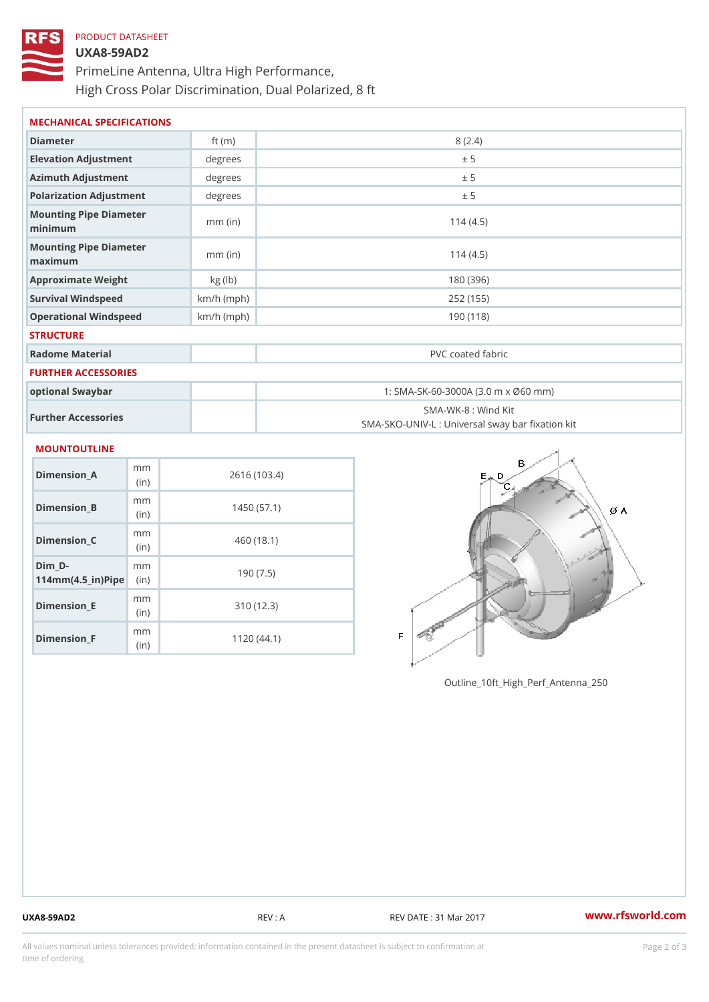# PRODUCT DATASHEET UXA8-59AD2 PrimeLine Antenna, Ultra High Performance, High Cross Polar Discrimination, Dual Polarized, 8 ft

| MECHANICAL SPECIFICATIONS                     |              |                                                                         |  |  |
|-----------------------------------------------|--------------|-------------------------------------------------------------------------|--|--|
| Diameter                                      | ft $(m)$     | 8(2.4)                                                                  |  |  |
| Elevation Adjustment                          | degrees      | ± 5                                                                     |  |  |
| Azimuth Adjustment                            | degrees      | ± 5                                                                     |  |  |
| Polarization Adjustment                       | degree       | ± 5                                                                     |  |  |
| Mounting Pipe Diameter<br>minimum             | $mm$ (in)    | 114(4.5)                                                                |  |  |
| Mounting Pipe Diameter<br>$m$ a x i $m$ u $m$ | $mm$ (in)    | 114(4.5)                                                                |  |  |
| Approximate Weight                            | kg (lb)      | 180 (396)                                                               |  |  |
| Survival Windspeed                            | $km/h$ (mph) | 252 (155)                                                               |  |  |
| Operational Windspeed                         | $km/h$ (mph) | 190 (118)                                                               |  |  |
| <b>STRUCTURE</b>                              |              |                                                                         |  |  |
| Radome Material                               |              | PVC coated fabric                                                       |  |  |
| FURTHER ACCESSORIES                           |              |                                                                         |  |  |
| optional Swaybar                              |              | 1: SMA-SK-60-3000A (3.0 m x Ø60 mm)                                     |  |  |
| Further Accessories                           |              | SMA-WK-8 : Wind Kit<br>SMA-SKO-UNIV-L : Universal sway bar fixation kit |  |  |
| <b>MOUNTOUTLINE</b>                           |              |                                                                         |  |  |
| m m<br>$Dimension_A$<br>(i <sub>n</sub> )     |              | 2616 (103.4)                                                            |  |  |
| m m<br>Dimension B<br>(in)                    |              | 1450(57.1)                                                              |  |  |

Dimension\_C mm (in) 460 (18.1)  $Dim_$   $D 114$  m m (4.5 \_ i r )  $\sqrt{$  ii p  $\ge$ m<sub>m</sub> 190 (7.5) Dimension\_E mm (in) 310 (12.3) Dimension\_F m<sub>m</sub> (in) 1120 (44.1)

Outline\_10ft\_High\_Perf\_Antenna\_250

UXA8-59AD2 REV : A REV : REV DATE : 31 Mar 2017 WWW.rfsworld.com